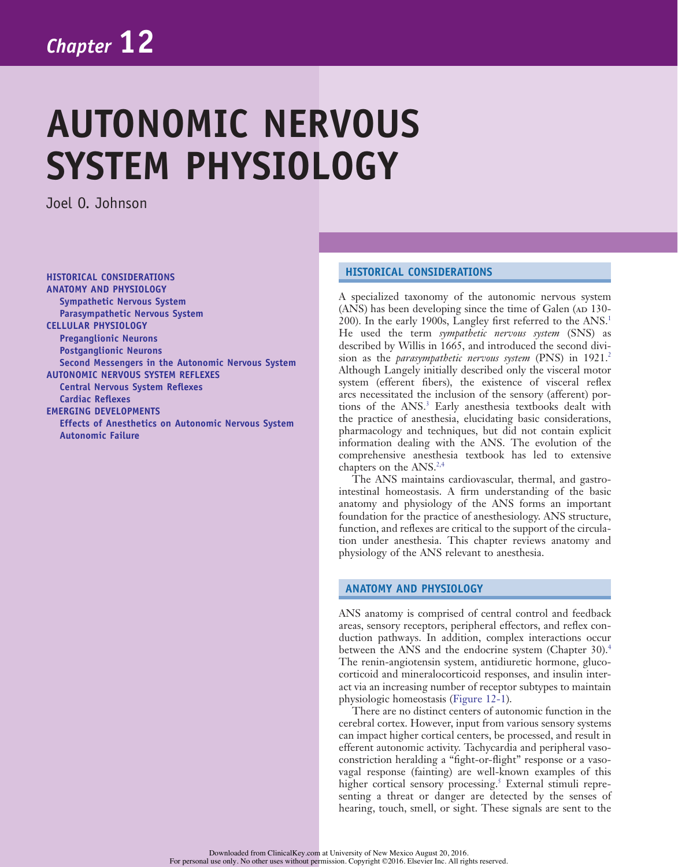# **AUTONOMIC NERVOUS SYSTEM PHYSIOLOGY**

Joel O. Johnson

**[HISTORICAL CONSIDERATIONS](#page-0-0) [ANATOMY AND PHYSIOLOGY](#page-0-1) [Sympathetic Nervous System](#page-2-0) [Parasympathetic Nervous System](#page-3-0) [CELLULAR PHYSIOLOGY](#page-3-1) [Preganglionic Neurons](#page-3-2) [Postganglionic Neurons](#page-3-3) [Second Messengers in the Autonomic Nervous System](#page-6-0) [AUTONOMIC NERVOUS SYSTEM REFLEXES](#page-6-1) [Central Nervous System Re](#page-6-2)fexes [Cardiac Re](#page-6-3)fexes [EMERGING DEVELOPMENTS](#page-7-0) [Effects of Anesthetics on Autonomic Nervous System](#page-7-1) [Autonomic Failure](#page-8-0)**

# <span id="page-0-0"></span>**HISTORICAL CONSIDERATIONS**

A specialized taxonomy of the autonomic nervous system (ANS) has been developing since the time of Galen (AD 130-200). In the early 1900s, Langley first referred to the ANS.<sup>1</sup> He used the term *sympathetic nervous system* (SNS) as described by Willis in 1665, and introduced the second division as the *parasympathetic nervous system* (PNS) in 1921.<sup>2</sup> Although Langely initially described only the visceral motor system (efferent fibers), the existence of visceral reflex arcs necessitated the inclusion of the sensory (afferent) por-tions of the ANS.<sup>[3](#page-9-2)</sup> Early anesthesia textbooks dealt with the practice of anesthesia, elucidating basic considerations, pharmacology and techniques, but did not contain explicit information dealing with the ANS. The evolution of the comprehensive anesthesia textbook has led to extensive chapters on the ANS.<sup>2,4</sup>

The ANS maintains cardiovascular, thermal, and gastrointestinal homeostasis. A firm understanding of the basic anatomy and physiology of the ANS forms an important foundation for the practice of anesthesiology. ANS structure, function, and reflexes are critical to the support of the circulation under anesthesia. This chapter reviews anatomy and physiology of the ANS relevant to anesthesia.

# <span id="page-0-1"></span>**ANATOMY AND PHYSIOLOGY**

ANS anatomy is comprised of central control and feedback areas, sensory receptors, peripheral effectors, and reflex conduction pathways. In addition, complex interactions occur between the ANS and the endocrine system (Chapter 30).<sup>4</sup> The renin-angiotensin system, antidiuretic hormone, glucocorticoid and mineralocorticoid responses, and insulin interact via an increasing number of receptor subtypes to maintain physiologic homeostasis [\(Figure 12-1](#page-1-0)).

There are no distinct centers of autonomic function in the cerebral cortex. However, input from various sensory systems can impact higher cortical centers, be processed, and result in efferent autonomic activity. Tachycardia and peripheral vasoconstriction heralding a "fight-or-flight" response or a vasovagal response (fainting) are well-known examples of this higher cortical sensory processing.<sup>[5](#page-9-4)</sup> External stimuli representing a threat or danger are detected by the senses of hearing, touch, smell, or sight. These signals are sent to the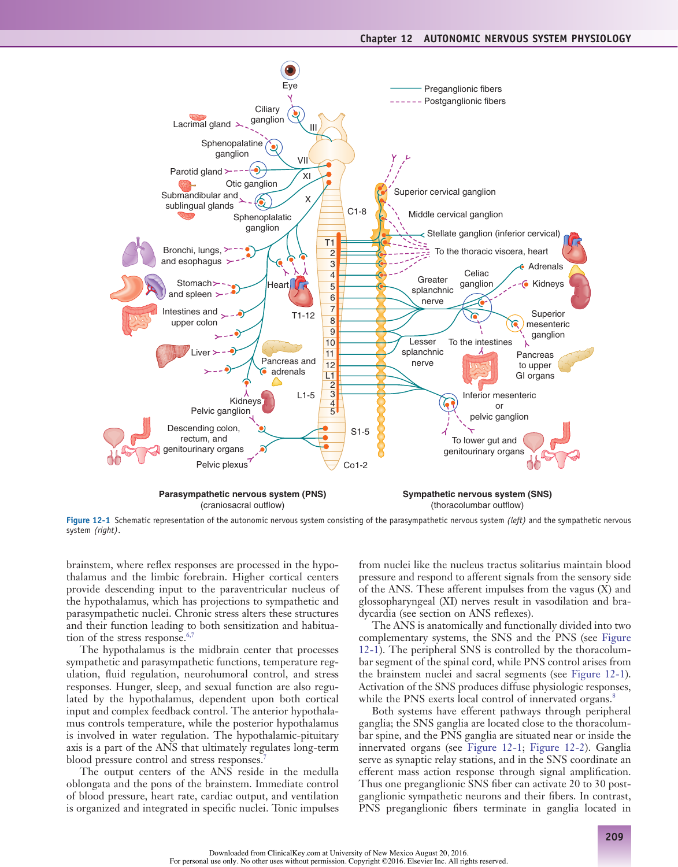

<span id="page-1-0"></span>**Figure 12-1** Schematic representation of the autonomic nervous system consisting of the parasympathetic nervous system *(left)* and the sympathetic nervous system *(right)*.

brainstem, where reflex responses are processed in the hypothalamus and the limbic forebrain. Higher cortical centers provide descending input to the paraventricular nucleus of the hypothalamus, which has projections to sympathetic and parasympathetic nuclei. Chronic stress alters these structures and their function leading to both sensitization and habituation of the stress response.<sup>6,7</sup>

The hypothalamus is the midbrain center that processes sympathetic and parasympathetic functions, temperature regulation, fluid regulation, neurohumoral control, and stress responses. Hunger, sleep, and sexual function are also regulated by the hypothalamus, dependent upon both cortical input and complex feedback control. The anterior hypothalamus controls temperature, while the posterior hypothalamus is involved in water regulation. The hypothalamic-pituitary axis is a part of the ANS that ultimately regulates long-term blood pressure control and stress responses.

The output centers of the ANS reside in the medulla oblongata and the pons of the brainstem. Immediate control of blood pressure, heart rate, cardiac output, and ventilation is organized and integrated in specific nuclei. Tonic impulses from nuclei like the nucleus tractus solitarius maintain blood pressure and respond to afferent signals from the sensory side of the ANS. These afferent impulses from the vagus (X) and glossopharyngeal (XI) nerves result in vasodilation and bradycardia (see section on ANS reflexes).

The ANS is anatomically and functionally divided into two complementary systems, the SNS and the PNS (see [Figure](#page-1-0) [12-1](#page-1-0)). The peripheral SNS is controlled by the thoracolumbar segment of the spinal cord, while PNS control arises from the brainstem nuclei and sacral segments (see [Figure 12-1\)](#page-1-0). Activation of the SNS produces diffuse physiologic responses, while the PNS exerts local control of innervated organs.<sup>[8](#page-9-5)</sup>

Both systems have efferent pathways through peripheral ganglia; the SNS ganglia are located close to the thoracolumbar spine, and the PNS ganglia are situated near or inside the innervated organs (see [Figure 12-1;](#page-1-0) [Figure 12-2](#page-2-1)). Ganglia serve as synaptic relay stations, and in the SNS coordinate an efferent mass action response through signal amplification. Thus one preganglionic SNS fiber can activate 20 to 30 postganglionic sympathetic neurons and their fibers. In contrast, PNS preganglionic fibers terminate in ganglia located in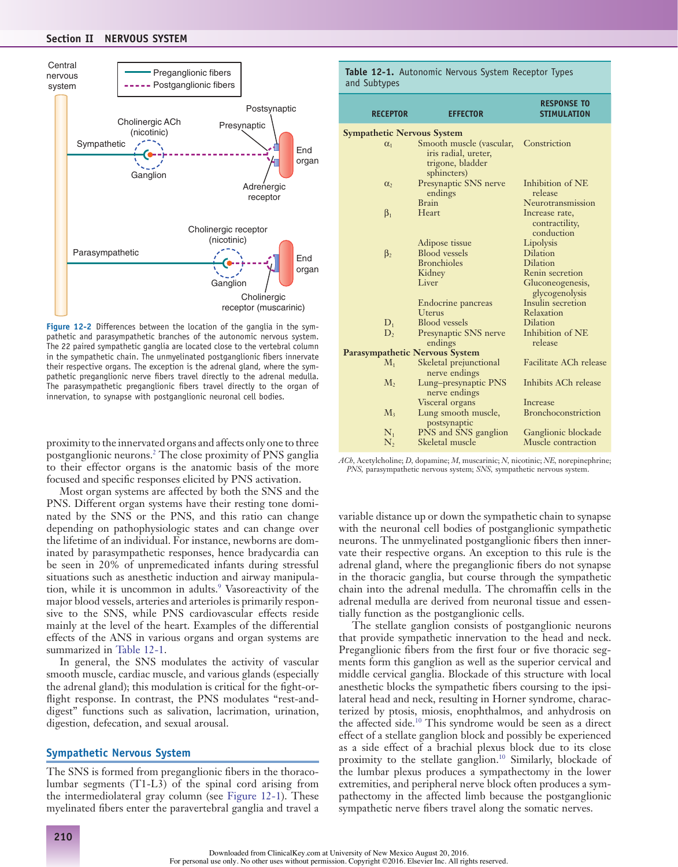

<span id="page-2-1"></span>**Figure 12-2** Differences between the location of the ganglia in the sympathetic and parasympathetic branches of the autonomic nervous system. The 22 paired sympathetic ganglia are located close to the vertebral column in the sympathetic chain. The unmyelinated postganglionic fibers innervate their respective organs. The exception is the adrenal gland, where the sympathetic preganglionic nerve fbers travel directly to the adrenal medulla. The parasympathetic preganglionic fibers travel directly to the organ of innervation, to synapse with postganglionic neuronal cell bodies.

proximity to the innervated organs and affects only one to three postganglionic neurons[.2](#page-9-1) The close proximity of PNS ganglia to their effector organs is the anatomic basis of the more focused and specific responses elicited by PNS activation.

Most organ systems are affected by both the SNS and the PNS. Different organ systems have their resting tone dominated by the SNS or the PNS, and this ratio can change depending on pathophysiologic states and can change over the lifetime of an individual. For instance, newborns are dominated by parasympathetic responses, hence bradycardia can be seen in 20% of unpremedicated infants during stressful situations such as anesthetic induction and airway manipula-tion, while it is uncommon in adults.<sup>[9](#page-9-9)</sup> Vasoreactivity of the major blood vessels, arteries and arterioles is primarily responsive to the SNS, while PNS cardiovascular effects reside mainly at the level of the heart. Examples of the differential effects of the ANS in various organs and organ systems are summarized in [Table 12-1](#page-2-2).

In general, the SNS modulates the activity of vascular smooth muscle, cardiac muscle, and various glands (especially the adrenal gland); this modulation is critical for the fight-orflight response. In contrast, the PNS modulates "rest-anddigest" functions such as salivation, lacrimation, urination, digestion, defecation, and sexual arousal.

#### <span id="page-2-0"></span>**Sympathetic Nervous System**

The SNS is formed from preganglionic fibers in the thoracolumbar segments (T1-L3) of the spinal cord arising from the intermediolateral gray column (see [Figure 12-1\)](#page-1-0). These myelinated fibers enter the paravertebral ganglia and travel a <span id="page-2-2"></span>**Table 12-1.** Autonomic Nervous System Receptor Types and Subtypes

| <b>RECEPTOR</b>                       | <b>EFFECTOR</b>                                                                                  | <b>RESPONSE TO</b><br><b>STIMULATION</b>       |  |  |  |  |  |  |
|---------------------------------------|--------------------------------------------------------------------------------------------------|------------------------------------------------|--|--|--|--|--|--|
| <b>Sympathetic Nervous System</b>     |                                                                                                  |                                                |  |  |  |  |  |  |
| $\alpha_1$                            | Smooth muscle (vascular, Constriction<br>iris radial, ureter,<br>trigone, bladder<br>sphincters) |                                                |  |  |  |  |  |  |
| $\alpha$                              | Presynaptic SNS nerve<br>endings                                                                 | Inhibition of NE<br>release                    |  |  |  |  |  |  |
|                                       | <b>Brain</b>                                                                                     | Neurotransmission                              |  |  |  |  |  |  |
| $\beta_1$                             | Heart                                                                                            | Increase rate,<br>contractility,<br>conduction |  |  |  |  |  |  |
|                                       | Adipose tissue                                                                                   | Lipolysis                                      |  |  |  |  |  |  |
| $\beta_2$                             | <b>Blood</b> vessels                                                                             | <b>Dilation</b>                                |  |  |  |  |  |  |
|                                       | <b>Bronchioles</b>                                                                               | <b>Dilation</b>                                |  |  |  |  |  |  |
|                                       | Kidney                                                                                           | Renin secretion                                |  |  |  |  |  |  |
|                                       | Liver                                                                                            | Gluconeogenesis,<br>glycogenolysis             |  |  |  |  |  |  |
|                                       | Endocrine pancreas                                                                               | Insulin secretion                              |  |  |  |  |  |  |
|                                       | Uterus                                                                                           | Relaxation                                     |  |  |  |  |  |  |
| $D_1$                                 | <b>Blood</b> vessels                                                                             | <b>Dilation</b>                                |  |  |  |  |  |  |
| D <sub>2</sub>                        | Presynaptic SNS nerve<br>endings                                                                 | Inhibition of NE<br>release                    |  |  |  |  |  |  |
| <b>Parasympathetic Nervous System</b> |                                                                                                  |                                                |  |  |  |  |  |  |
| $M_{1}$                               | Skeletal prejunctional<br>nerve endings                                                          | Facilitate ACh release                         |  |  |  |  |  |  |
| $M_{2}$                               | Lung-presynaptic PNS<br>nerve endings                                                            | Inhibits ACh release                           |  |  |  |  |  |  |
|                                       | Visceral organs                                                                                  | Increase                                       |  |  |  |  |  |  |
| $M_{3}$                               | Lung smooth muscle,<br>postsynaptic                                                              | Bronchoconstriction                            |  |  |  |  |  |  |
| $N_{1}$                               | PNS and SNS ganglion                                                                             | Ganglionic blockade                            |  |  |  |  |  |  |
| N <sub>2</sub>                        | Skeletal muscle                                                                                  | Muscle contraction                             |  |  |  |  |  |  |

*ACh,* Acetylcholine; *D,* dopamine; *M,* muscarinic; *N,* nicotinic; *NE,* norepinephrine; *PNS,* parasympathetic nervous system; *SNS,* sympathetic nervous system.

variable distance up or down the sympathetic chain to synapse with the neuronal cell bodies of postganglionic sympathetic neurons. The unmyelinated postganglionic fibers then innervate their respective organs. An exception to this rule is the adrenal gland, where the preganglionic fibers do not synapse in the thoracic ganglia, but course through the sympathetic chain into the adrenal medulla. The chromaffin cells in the adrenal medulla are derived from neuronal tissue and essentially function as the postganglionic cells.

The stellate ganglion consists of postganglionic neurons that provide sympathetic innervation to the head and neck. Preganglionic fibers from the first four or five thoracic segments form this ganglion as well as the superior cervical and middle cervical ganglia. Blockade of this structure with local anesthetic blocks the sympathetic fibers coursing to the ipsilateral head and neck, resulting in Horner syndrome, characterized by ptosis, miosis, enophthalmos, and anhydrosis on the affected side.<sup>10</sup> This syndrome would be seen as a direct effect of a stellate ganglion block and possibly be experienced as a side effect of a brachial plexus block due to its close proximity to the stellate ganglion.<sup>10</sup> Similarly, blockade of the lumbar plexus produces a sympathectomy in the lower extremities, and peripheral nerve block often produces a sympathectomy in the affected limb because the postganglionic sympathetic nerve fibers travel along the somatic nerves.

Downloaded from ClinicalKey.com at University of New Mexico August 20, 2016. For personal use only. No other uses without permission. Copyright ©2016. Elsevier Inc. All rights reserved.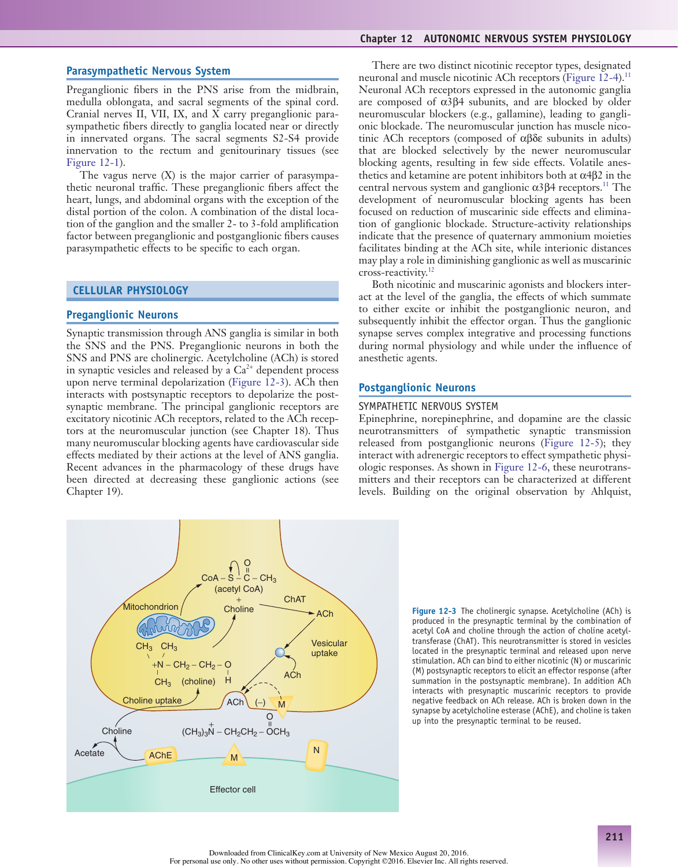#### <span id="page-3-0"></span>**Parasympathetic Nervous System**

Preganglionic fibers in the PNS arise from the midbrain, medulla oblongata, and sacral segments of the spinal cord. Cranial nerves II, VII, IX, and X carry preganglionic parasympathetic fibers directly to ganglia located near or directly in innervated organs. The sacral segments S2-S4 provide innervation to the rectum and genitourinary tissues (see [Figure 12-1](#page-1-0)).

The vagus nerve  $(X)$  is the major carrier of parasympathetic neuronal traffic. These preganglionic fibers affect the heart, lungs, and abdominal organs with the exception of the distal portion of the colon. A combination of the distal location of the ganglion and the smaller 2- to 3-fold amplification factor between preganglionic and postganglionic fibers causes parasympathetic effects to be specific to each organ.

## <span id="page-3-1"></span>**CELLULAR PHYSIOLOGY**

# <span id="page-3-2"></span>**Preganglionic Neurons**

Synaptic transmission through ANS ganglia is similar in both the SNS and the PNS. Preganglionic neurons in both the SNS and PNS are cholinergic. Acetylcholine (ACh) is stored in synaptic vesicles and released by a  $Ca<sup>2+</sup>$  dependent process upon nerve terminal depolarization [\(Figure 12-3\)](#page-3-4). ACh then interacts with postsynaptic receptors to depolarize the postsynaptic membrane. The principal ganglionic receptors are excitatory nicotinic ACh receptors, related to the ACh receptors at the neuromuscular junction (see Chapter 18). Thus many neuromuscular blocking agents have cardiovascular side effects mediated by their actions at the level of ANS ganglia. Recent advances in the pharmacology of these drugs have been directed at decreasing these ganglionic actions (see Chapter 19).



There are two distinct nicotinic receptor types, designated neuronal and muscle nicotinic ACh receptors [\(Figure 12-4\)](#page-4-0).<sup>11</sup> Neuronal ACh receptors expressed in the autonomic ganglia are composed of  $\alpha$ 3 $\beta$ 4 subunits, and are blocked by older neuromuscular blockers (e.g., gallamine), leading to ganglionic blockade. The neuromuscular junction has muscle nicotinic ACh receptors (composed of  $\alpha\beta\delta\epsilon$  subunits in adults) that are blocked selectively by the newer neuromuscular blocking agents, resulting in few side effects. Volatile anesthetics and ketamine are potent inhibitors both at α4β2 in the central nervous system and ganglionic  $\alpha$ 3β4 receptors.<sup>11</sup> The development of neuromuscular blocking agents has been focused on reduction of muscarinic side effects and elimination of ganglionic blockade. Structure-activity relationships indicate that the presence of quaternary ammonium moieties facilitates binding at the ACh site, while interionic distances may play a role in diminishing ganglionic as well as muscarinic cross-reactivity.<sup>[12](#page-9-11)</sup>

Both nicotinic and muscarinic agonists and blockers interact at the level of the ganglia, the effects of which summate to either excite or inhibit the postganglionic neuron, and subsequently inhibit the effector organ. Thus the ganglionic synapse serves complex integrative and processing functions during normal physiology and while under the influence of anesthetic agents.

# <span id="page-3-3"></span>**Postganglionic Neurons**

#### SYMPATHETIC NERVOUS SYSTEM

Epinephrine, norepinephrine, and dopamine are the classic neurotransmitters of sympathetic synaptic transmission released from postganglionic neurons [\(Figure 12-5\)](#page-4-1); they interact with adrenergic receptors to effect sympathetic physiologic responses. As shown in [Figure 12-6](#page-5-0), these neurotransmitters and their receptors can be characterized at different levels. Building on the original observation by Ahlquist,

<span id="page-3-4"></span>**Figure 12-3** The cholinergic synapse. Acetylcholine (ACh) is produced in the presynaptic terminal by the combination of acetyl CoA and choline through the action of choline acetyltransferase (ChAT). This neurotransmitter is stored in vesicles located in the presynaptic terminal and released upon nerve stimulation. ACh can bind to either nicotinic (N) or muscarinic (M) postsynaptic receptors to elicit an effector response (after summation in the postsynaptic membrane). In addition ACh interacts with presynaptic muscarinic receptors to provide negative feedback on ACh release. ACh is broken down in the synapse by acetylcholine esterase (AChE), and choline is taken up into the presynaptic terminal to be reused.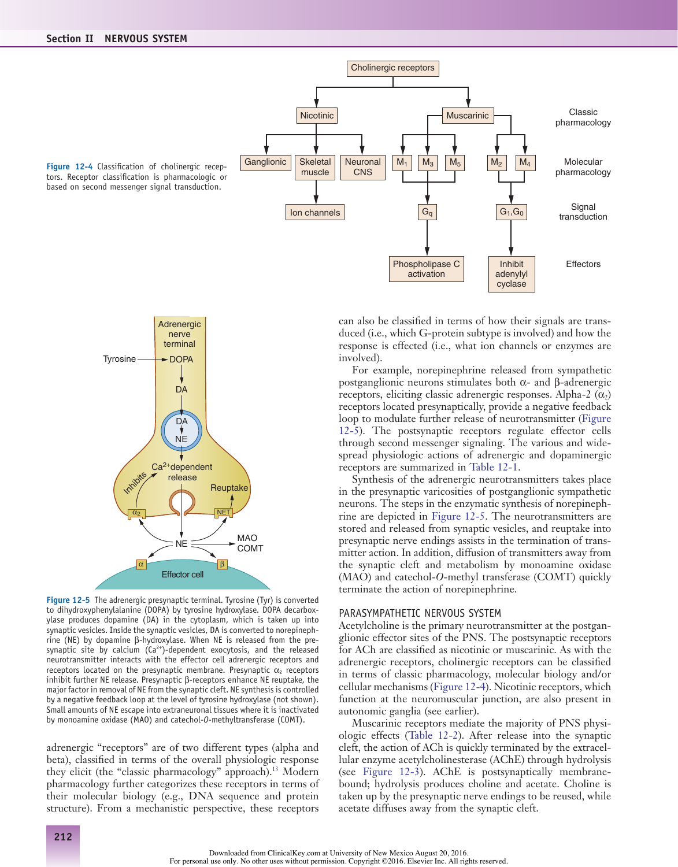

<span id="page-4-0"></span>**Figure 12-4** Classifcation of cholinergic receptors. Receptor classifcation is pharmacologic or based on second messenger signal transduction.



<span id="page-4-1"></span>**Figure 12-5** The adrenergic presynaptic terminal. Tyrosine (Tyr) is converted to dihydroxyphenylalanine (DOPA) by tyrosine hydroxylase. DOPA decarboxylase produces dopamine (DA) in the cytoplasm, which is taken up into synaptic vesicles. Inside the synaptic vesicles, DA is converted to norepinephrine (NE) by dopamine β-hydroxylase. When NE is released from the presynaptic site by calcium  $(Ca^{2+})$ -dependent exocytosis, and the released neurotransmitter interacts with the effector cell adrenergic receptors and receptors located on the presynaptic membrane. Presynaptic  $\alpha_2$  receptors inhibit further NE release. Presynaptic β-receptors enhance NE reuptake, the major factor in removal of NE from the synaptic cleft. NE synthesis is controlled by a negative feedback loop at the level of tyrosine hydroxylase (not shown). Small amounts of NE escape into extraneuronal tissues where it is inactivated by monoamine oxidase (MAO) and catechol-*O*-methyltransferase (COMT).

adrenergic "receptors" are of two different types (alpha and beta), classified in terms of the overall physiologic response they elicit (the "classic pharmacology" approach).<sup>13</sup> Modern pharmacology further categorizes these receptors in terms of their molecular biology (e.g., DNA sequence and protein structure). From a mechanistic perspective, these receptors

can also be classified in terms of how their signals are transduced (i.e., which G-protein subtype is involved) and how the response is effected (i.e., what ion channels or enzymes are involved).

For example, norepinephrine released from sympathetic postganglionic neurons stimulates both α- and β-adrenergic receptors, eliciting classic adrenergic responses. Alpha-2  $(\alpha_2)$ receptors located presynaptically, provide a negative feedback loop to modulate further release of neurotransmitter [\(Figure](#page-4-1) [12-5](#page-4-1)). The postsynaptic receptors regulate effector cells through second messenger signaling. The various and widespread physiologic actions of adrenergic and dopaminergic receptors are summarized in [Table 12-1.](#page-2-2)

Synthesis of the adrenergic neurotransmitters takes place in the presynaptic varicosities of postganglionic sympathetic neurons. The steps in the enzymatic synthesis of norepinephrine are depicted in [Figure 12-5](#page-4-1). The neurotransmitters are stored and released from synaptic vesicles, and reuptake into presynaptic nerve endings assists in the termination of transmitter action. In addition, diffusion of transmitters away from the synaptic cleft and metabolism by monoamine oxidase (MAO) and catechol-*O*-methyl transferase (COMT) quickly terminate the action of norepinephrine.

#### PARASYMPATHETIC NERVOUS SYSTEM

Acetylcholine is the primary neurotransmitter at the postganglionic effector sites of the PNS. The postsynaptic receptors for ACh are classified as nicotinic or muscarinic. As with the adrenergic receptors, cholinergic receptors can be classified in terms of classic pharmacology, molecular biology and/or cellular mechanisms [\(Figure 12-4\)](#page-4-0). Nicotinic receptors, which function at the neuromuscular junction, are also present in autonomic ganglia (see earlier).

Muscarinic receptors mediate the majority of PNS physiologic effects ([Table 12-2\)](#page-5-1). After release into the synaptic cleft, the action of ACh is quickly terminated by the extracellular enzyme acetylcholinesterase (AChE) through hydrolysis (see [Figure 12-3](#page-3-4)). AChE is postsynaptically membranebound; hydrolysis produces choline and acetate. Choline is taken up by the presynaptic nerve endings to be reused, while acetate diffuses away from the synaptic cleft.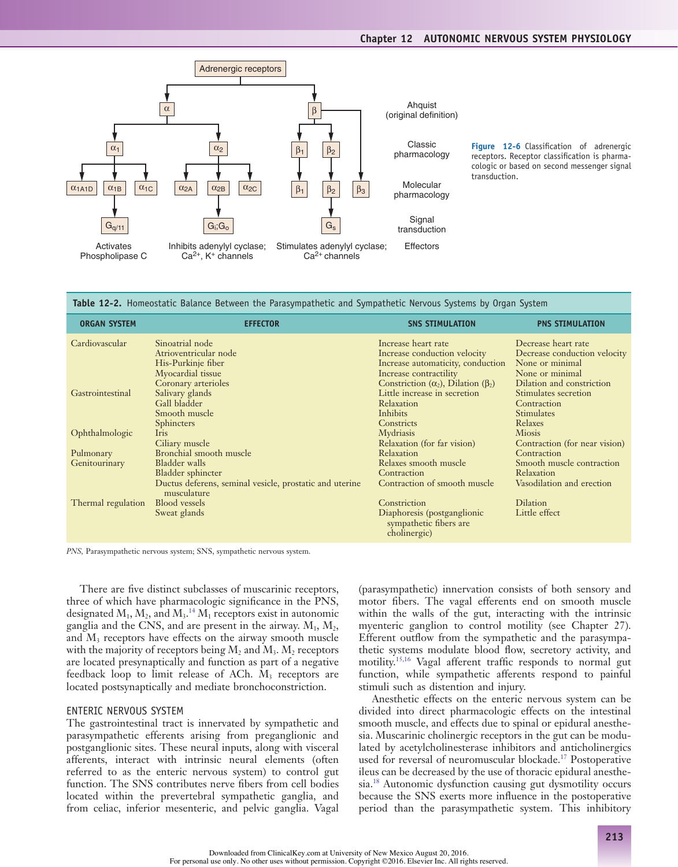## **Chapter 12 AUTONOMIC NERVOUS SYSTEM PHYSIOLOGY**



<span id="page-5-0"></span>**Figure 12-6** Classifcation of adrenergic receptors. Receptor classifcation is pharmacologic or based on second messenger signal transduction.

<span id="page-5-1"></span>

|  |  |  |  |  | Table 12-2. Homeostatic Balance Between the Parasympathetic and Sympathetic Nervous Systems by Organ System |  |  |  |  |  |  |  |
|--|--|--|--|--|-------------------------------------------------------------------------------------------------------------|--|--|--|--|--|--|--|
|--|--|--|--|--|-------------------------------------------------------------------------------------------------------------|--|--|--|--|--|--|--|

| <b>ORGAN SYSTEM</b> | <b>EFFECTOR</b>                                                        | <b>SNS STIMULATION</b>                                                | <b>PNS STIMULATION</b>        |
|---------------------|------------------------------------------------------------------------|-----------------------------------------------------------------------|-------------------------------|
| Cardiovascular      | Sinoatrial node                                                        | Increase heart rate                                                   | Decrease heart rate           |
|                     | Atrioventricular node                                                  | Increase conduction velocity                                          | Decrease conduction velocity  |
|                     | His-Purkinje fiber                                                     | Increase automaticity, conduction                                     | None or minimal               |
|                     | Myocardial tissue                                                      | Increase contractility                                                | None or minimal               |
|                     | Coronary arterioles                                                    | Constriction $(\alpha_2)$ , Dilation $(\beta_2)$                      | Dilation and constriction     |
| Gastrointestinal    | Salivary glands                                                        | Little increase in secretion                                          | Stimulates secretion          |
|                     | Gall bladder                                                           | Relaxation                                                            | Contraction                   |
|                     | Smooth muscle                                                          | Inhibits                                                              | Stimulates                    |
|                     | Sphincters                                                             | Constricts                                                            | Relaxes                       |
| Ophthalmologic      | <b>Iris</b>                                                            | Mydriasis                                                             | <b>Miosis</b>                 |
|                     | Ciliary muscle                                                         | Relaxation (for far vision)                                           | Contraction (for near vision) |
| Pulmonary           | Bronchial smooth muscle                                                | Relaxation                                                            | Contraction                   |
| Genitourinary       | Bladder walls                                                          | Relaxes smooth muscle                                                 | Smooth muscle contraction     |
|                     | Bladder sphincter                                                      | Contraction                                                           | Relaxation                    |
|                     | Ductus deferens, seminal vesicle, prostatic and uterine<br>musculature | Contraction of smooth muscle                                          | Vasodilation and erection     |
| Thermal regulation  | <b>Blood</b> vessels                                                   | Constriction                                                          | <b>Dilation</b>               |
|                     | Sweat glands                                                           | Diaphoresis (postganglionic<br>sympathetic fibers are<br>cholinergic) | Little effect                 |

*PNS,* Parasympathetic nervous system; SNS, sympathetic nervous system.

There are five distinct subclasses of muscarinic receptors, three of which have pharmacologic significance in the PNS, designated  $M_1$ ,  $M_2$ , and  $M_3$ .<sup>[14](#page-9-16)</sup>  $M_1$  receptors exist in autonomic ganglia and the CNS, and are present in the airway.  $M_1$ ,  $M_2$ , and  $M_3$  receptors have effects on the airway smooth muscle with the majority of receptors being  $M_2$  and  $M_3$ .  $M_2$  receptors are located presynaptically and function as part of a negative feedback loop to limit release of ACh.  $M_3$  receptors are located postsynaptically and mediate bronchoconstriction.

## ENTERIC NERVOUS SYSTEM

The gastrointestinal tract is innervated by sympathetic and parasympathetic efferents arising from preganglionic and postganglionic sites. These neural inputs, along with visceral afferents, interact with intrinsic neural elements (often referred to as the enteric nervous system) to control gut function. The SNS contributes nerve fibers from cell bodies located within the prevertebral sympathetic ganglia, and from celiac, inferior mesenteric, and pelvic ganglia. Vagal

(parasympathetic) innervation consists of both sensory and motor fibers. The vagal efferents end on smooth muscle within the walls of the gut, interacting with the intrinsic myenteric ganglion to control motility (see Chapter 27). Efferent outflow from the sympathetic and the parasympathetic systems modulate blood flow, secretory activity, and motility.[15,16](#page-9-13) Vagal afferent traffic responds to normal gut function, while sympathetic afferents respond to painful stimuli such as distention and injury.

Anesthetic effects on the enteric nervous system can be divided into direct pharmacologic effects on the intestinal smooth muscle, and effects due to spinal or epidural anesthesia. Muscarinic cholinergic receptors in the gut can be modulated by acetylcholinesterase inhibitors and anticholinergics used for reversal of neuromuscular blockade.<sup>17</sup> Postoperative ileus can be decreased by the use of thoracic epidural anesthesia.<sup>18</sup> Autonomic dysfunction causing gut dysmotility occurs because the SNS exerts more influence in the postoperative period than the parasympathetic system. This inhibitory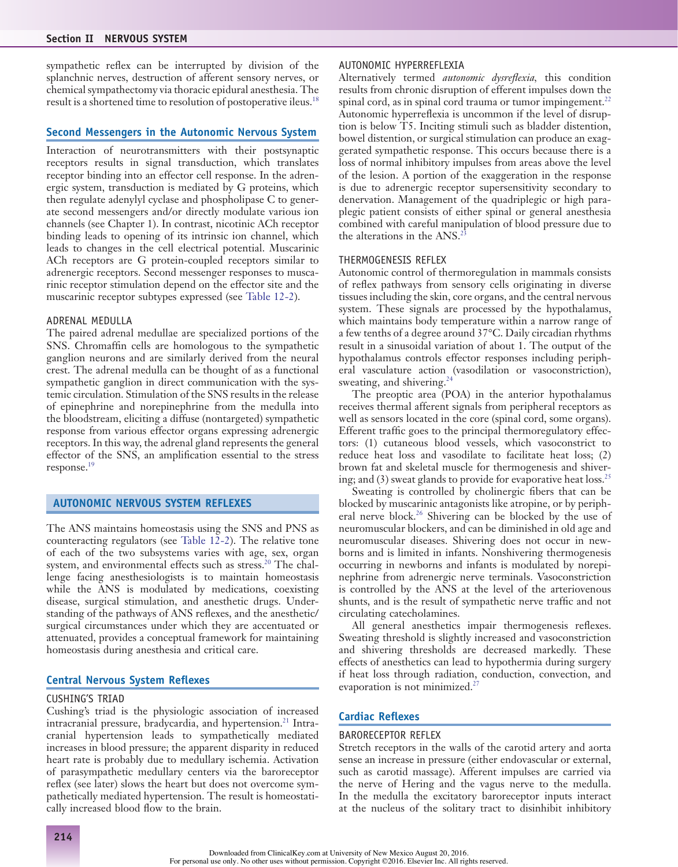sympathetic reflex can be interrupted by division of the splanchnic nerves, destruction of afferent sensory nerves, or chemical sympathectomy via thoracic epidural anesthesia. The result is a shortened time to resolution of postoperative ileus.<sup>18</sup>

## <span id="page-6-0"></span>**Second Messengers in the Autonomic Nervous System**

Interaction of neurotransmitters with their postsynaptic receptors results in signal transduction, which translates receptor binding into an effector cell response. In the adrenergic system, transduction is mediated by G proteins, which then regulate adenylyl cyclase and phospholipase C to generate second messengers and/or directly modulate various ion channels (see Chapter 1). In contrast, nicotinic ACh receptor binding leads to opening of its intrinsic ion channel, which leads to changes in the cell electrical potential. Muscarinic ACh receptors are G protein-coupled receptors similar to adrenergic receptors. Second messenger responses to muscarinic receptor stimulation depend on the effector site and the muscarinic receptor subtypes expressed (see [Table 12-2\)](#page-5-1).

#### ADRENAL MEDULLA

The paired adrenal medullae are specialized portions of the SNS. Chromaffin cells are homologous to the sympathetic ganglion neurons and are similarly derived from the neural crest. The adrenal medulla can be thought of as a functional sympathetic ganglion in direct communication with the systemic circulation. Stimulation of the SNS results in the release of epinephrine and norepinephrine from the medulla into the bloodstream, eliciting a diffuse (nontargeted) sympathetic response from various effector organs expressing adrenergic receptors. In this way, the adrenal gland represents the general effector of the SNS, an amplification essential to the stress response.<sup>19</sup>

## <span id="page-6-1"></span>**AUTONOMIC NERVOUS SYSTEM REFLEXES**

The ANS maintains homeostasis using the SNS and PNS as counteracting regulators (see [Table 12-2\)](#page-5-1). The relative tone of each of the two subsystems varies with age, sex, organ system, and environmental effects such as stress.<sup>20</sup> The challenge facing anesthesiologists is to maintain homeostasis while the ANS is modulated by medications, coexisting disease, surgical stimulation, and anesthetic drugs. Understanding of the pathways of ANS reflexes, and the anesthetic/ surgical circumstances under which they are accentuated or attenuated, provides a conceptual framework for maintaining homeostasis during anesthesia and critical care.

#### <span id="page-6-2"></span>**Central Nervous System Refexes**

#### CUSHING'S TRIAD

Cushing's triad is the physiologic association of increased intracranial pressure, bradycardia, and hypertension.<sup>21</sup> Intracranial hypertension leads to sympathetically mediated increases in blood pressure; the apparent disparity in reduced heart rate is probably due to medullary ischemia. Activation of parasympathetic medullary centers via the baroreceptor reflex (see later) slows the heart but does not overcome sympathetically mediated hypertension. The result is homeostatically increased blood flow to the brain.

#### AUTONOMIC HYPERREFLEXIA

Alternatively termed *autonomic dysreflexia,* this condition results from chronic disruption of efferent impulses down the spinal cord, as in spinal cord trauma or tumor impingement. $22$ Autonomic hyperreflexia is uncommon if the level of disruption is below T5. Inciting stimuli such as bladder distention, bowel distention, or surgical stimulation can produce an exaggerated sympathetic response. This occurs because there is a loss of normal inhibitory impulses from areas above the level of the lesion. A portion of the exaggeration in the response is due to adrenergic receptor supersensitivity secondary to denervation. Management of the quadriplegic or high paraplegic patient consists of either spinal or general anesthesia combined with careful manipulation of blood pressure due to the alterations in the  $ANS.<sup>2</sup>$ 

#### THERMOGENESIS REFLEX

Autonomic control of thermoregulation in mammals consists of reflex pathways from sensory cells originating in diverse tissues including the skin, core organs, and the central nervous system. These signals are processed by the hypothalamus, which maintains body temperature within a narrow range of a few tenths of a degree around 37°C. Daily circadian rhythms result in a sinusoidal variation of about 1. The output of the hypothalamus controls effector responses including peripheral vasculature action (vasodilation or vasoconstriction), sweating, and shivering.<sup>24</sup>

The preoptic area (POA) in the anterior hypothalamus receives thermal afferent signals from peripheral receptors as well as sensors located in the core (spinal cord, some organs). Efferent traffic goes to the principal thermoregulatory effectors: (1) cutaneous blood vessels, which vasoconstrict to reduce heat loss and vasodilate to facilitate heat loss; (2) brown fat and skeletal muscle for thermogenesis and shivering; and (3) sweat glands to provide for evaporative heat loss.<sup>25</sup>

Sweating is controlled by cholinergic fibers that can be blocked by muscarinic antagonists like atropine, or by peripheral nerve block.<sup>26</sup> Shivering can be blocked by the use of neuromuscular blockers, and can be diminished in old age and neuromuscular diseases. Shivering does not occur in newborns and is limited in infants. Nonshivering thermogenesis occurring in newborns and infants is modulated by norepinephrine from adrenergic nerve terminals. Vasoconstriction is controlled by the ANS at the level of the arteriovenous shunts, and is the result of sympathetic nerve traffic and not circulating catecholamines.

All general anesthetics impair thermogenesis reflexes. Sweating threshold is slightly increased and vasoconstriction and shivering thresholds are decreased markedly. These effects of anesthetics can lead to hypothermia during surgery if heat loss through radiation, conduction, convection, and evaporation is not minimized.<sup>27</sup>

## <span id="page-6-3"></span>**Cardiac Refexes**

#### BARORECEPTOR REFLEX

Stretch receptors in the walls of the carotid artery and aorta sense an increase in pressure (either endovascular or external, such as carotid massage). Afferent impulses are carried via the nerve of Hering and the vagus nerve to the medulla. In the medulla the excitatory baroreceptor inputs interact at the nucleus of the solitary tract to disinhibit inhibitory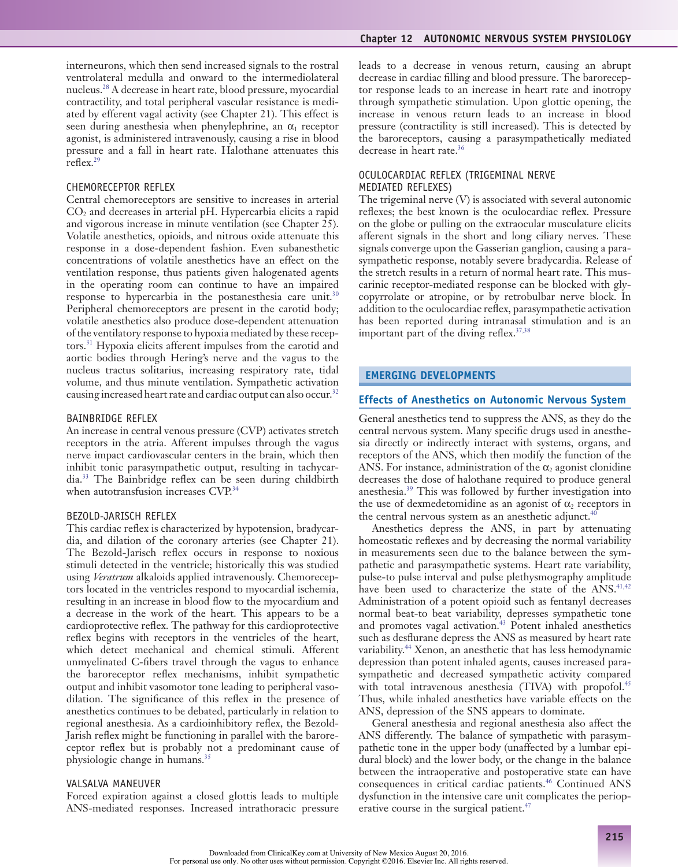interneurons, which then send increased signals to the rostral ventrolateral medulla and onward to the intermediolateral nucleus.[28](#page-9-36) A decrease in heart rate, blood pressure, myocardial contractility, and total peripheral vascular resistance is mediated by efferent vagal activity (see Chapter 21). This effect is seen during anesthesia when phenylephrine, an  $\alpha_1$  receptor agonist, is administered intravenously, causing a rise in blood pressure and a fall in heart rate. Halothane attenuates this reflex.<sup>[29](#page-9-37)</sup>

#### CHEMORECEPTOR REFLEX

Central chemoreceptors are sensitive to increases in arterial  $CO<sub>2</sub>$  and decreases in arterial pH. Hypercarbia elicits a rapid and vigorous increase in minute ventilation (see Chapter 25). Volatile anesthetics, opioids, and nitrous oxide attenuate this response in a dose-dependent fashion. Even subanesthetic concentrations of volatile anesthetics have an effect on the ventilation response, thus patients given halogenated agents in the operating room can continue to have an impaired response to hypercarbia in the postanesthesia care unit.<sup>30</sup> Peripheral chemoreceptors are present in the carotid body; volatile anesthetics also produce dose-dependent attenuation of the ventilatory response to hypoxia mediated by these receptors.[31](#page-9-39) Hypoxia elicits afferent impulses from the carotid and aortic bodies through Hering's nerve and the vagus to the nucleus tractus solitarius, increasing respiratory rate, tidal volume, and thus minute ventilation. Sympathetic activation causing increased heart rate and cardiac output can also occur.<sup>32</sup>

#### BAINBRIDGE REFLEX

An increase in central venous pressure (CVP) activates stretch receptors in the atria. Afferent impulses through the vagus nerve impact cardiovascular centers in the brain, which then inhibit tonic parasympathetic output, resulting in tachycardia[.33](#page-9-41) The Bainbridge reflex can be seen during childbirth when autotransfusion increases CVP.<sup>[34](#page-9-42)</sup>

#### BEZOLD-JARISCH REFLEX

This cardiac reflex is characterized by hypotension, bradycardia, and dilation of the coronary arteries (see Chapter 21). The Bezold-Jarisch reflex occurs in response to noxious stimuli detected in the ventricle; historically this was studied using *Veratrum* alkaloids applied intravenously. Chemoreceptors located in the ventricles respond to myocardial ischemia, resulting in an increase in blood flow to the myocardium and a decrease in the work of the heart. This appears to be a cardioprotective reflex. The pathway for this cardioprotective reflex begins with receptors in the ventricles of the heart, which detect mechanical and chemical stimuli. Afferent unmyelinated C-fibers travel through the vagus to enhance the baroreceptor reflex mechanisms, inhibit sympathetic output and inhibit vasomotor tone leading to peripheral vasodilation. The significance of this reflex in the presence of anesthetics continues to be debated, particularly in relation to regional anesthesia. As a cardioinhibitory reflex, the Bezold-Jarish reflex might be functioning in parallel with the baroreceptor reflex but is probably not a predominant cause of physiologic change in humans.[35](#page-9-43)

#### VALSALVA MANEUVER

Forced expiration against a closed glottis leads to multiple ANS-mediated responses. Increased intrathoracic pressure leads to a decrease in venous return, causing an abrupt decrease in cardiac filling and blood pressure. The baroreceptor response leads to an increase in heart rate and inotropy through sympathetic stimulation. Upon glottic opening, the increase in venous return leads to an increase in blood pressure (contractility is still increased). This is detected by the baroreceptors, causing a parasympathetically mediated decrease in heart rate.<sup>36</sup>

#### OCULOCARDIAC REFLEX (TRIGEMINAL NERVE MEDIATED REFLEXES)

The trigeminal nerve (V) is associated with several autonomic reflexes; the best known is the oculocardiac reflex. Pressure on the globe or pulling on the extraocular musculature elicits afferent signals in the short and long ciliary nerves. These signals converge upon the Gasserian ganglion, causing a parasympathetic response, notably severe bradycardia. Release of the stretch results in a return of normal heart rate. This muscarinic receptor-mediated response can be blocked with glycopyrrolate or atropine, or by retrobulbar nerve block. In addition to the oculocardiac reflex, parasympathetic activation has been reported during intranasal stimulation and is an important part of the diving reflex.<sup>[37,38](#page-9-27)</sup>

## <span id="page-7-0"></span>**EMERGING DEVELOPMENTS**

# <span id="page-7-1"></span>**Effects of Anesthetics on Autonomic Nervous System**

General anesthetics tend to suppress the ANS, as they do the central nervous system. Many specific drugs used in anesthesia directly or indirectly interact with systems, organs, and receptors of the ANS, which then modify the function of the ANS. For instance, administration of the  $\alpha_2$  agonist clonidine decreases the dose of halothane required to produce general anesthesia[.39](#page-9-28) This was followed by further investigation into the use of dexmedetomidine as an agonist of  $\alpha_2$  receptors in the central nervous system as an anesthetic adjunct. $40$ 

Anesthetics depress the ANS, in part by attenuating homeostatic reflexes and by decreasing the normal variability in measurements seen due to the balance between the sympathetic and parasympathetic systems. Heart rate variability, pulse-to pulse interval and pulse plethysmography amplitude have been used to characterize the state of the ANS. $41,42$ Administration of a potent opioid such as fentanyl decreases normal beat-to beat variability, depresses sympathetic tone and promotes vagal activation.<sup>43</sup> Potent inhaled anesthetics such as desflurane depress the ANS as measured by heart rate variability.<sup>44</sup> Xenon, an anesthetic that has less hemodynamic depression than potent inhaled agents, causes increased parasympathetic and decreased sympathetic activity compared with total intravenous anesthesia  $(TIVA)$  with propofol.<sup>45</sup> Thus, while inhaled anesthetics have variable effects on the ANS, depression of the SNS appears to dominate.

General anesthesia and regional anesthesia also affect the ANS differently. The balance of sympathetic with parasympathetic tone in the upper body (unaffected by a lumbar epidural block) and the lower body, or the change in the balance between the intraoperative and postoperative state can have consequences in critical cardiac patients.<sup>46</sup> Continued ANS dysfunction in the intensive care unit complicates the perioperative course in the surgical patient. $47$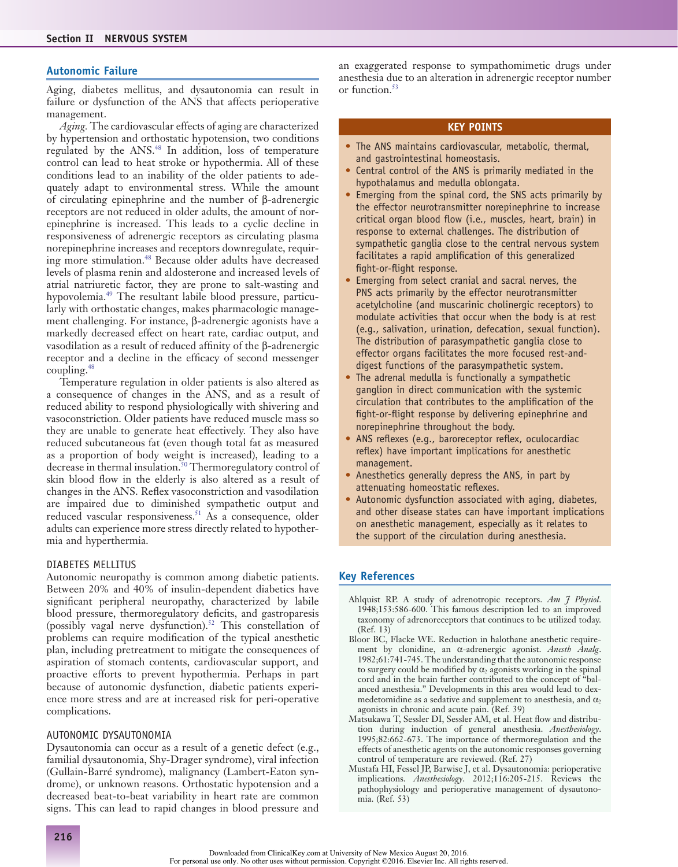#### <span id="page-8-0"></span>**Autonomic Failure**

Aging, diabetes mellitus, and dysautonomia can result in failure or dysfunction of the ANS that affects perioperative management.

*Aging.* The cardiovascular effects of aging are characterized by hypertension and orthostatic hypotension, two conditions regulated by the ANS.[48](#page-9-44) In addition, loss of temperature control can lead to heat stroke or hypothermia. All of these conditions lead to an inability of the older patients to adequately adapt to environmental stress. While the amount of circulating epinephrine and the number of β-adrenergic receptors are not reduced in older adults, the amount of norepinephrine is increased. This leads to a cyclic decline in responsiveness of adrenergic receptors as circulating plasma norepinephrine increases and receptors downregulate, requiring more stimulation.<sup>48</sup> Because older adults have decreased levels of plasma renin and aldosterone and increased levels of atrial natriuretic factor, they are prone to salt-wasting and hypovolemia.<sup>49</sup> The resultant labile blood pressure, particularly with orthostatic changes, makes pharmacologic management challenging. For instance, β-adrenergic agonists have a markedly decreased effect on heart rate, cardiac output, and vasodilation as a result of reduced affinity of the β-adrenergic receptor and a decline in the efficacy of second messenger coupling.<sup>48</sup>

Temperature regulation in older patients is also altered as a consequence of changes in the ANS, and as a result of reduced ability to respond physiologically with shivering and vasoconstriction. Older patients have reduced muscle mass so they are unable to generate heat effectively. They also have reduced subcutaneous fat (even though total fat as measured as a proportion of body weight is increased), leading to a decrease in thermal insulation.<sup>50</sup> Thermoregulatory control of skin blood flow in the elderly is also altered as a result of changes in the ANS. Reflex vasoconstriction and vasodilation are impaired due to diminished sympathetic output and reduced vascular responsiveness.<sup>51</sup> As a consequence, older adults can experience more stress directly related to hypothermia and hyperthermia.

## DIABETES MELLITUS

Autonomic neuropathy is common among diabetic patients. Between 20% and 40% of insulin-dependent diabetics have significant peripheral neuropathy, characterized by labile blood pressure, thermoregulatory deficits, and gastroparesis (possibly vagal nerve dysfunction).<sup>52</sup> This constellation of problems can require modification of the typical anesthetic plan, including pretreatment to mitigate the consequences of aspiration of stomach contents, cardiovascular support, and proactive efforts to prevent hypothermia. Perhaps in part because of autonomic dysfunction, diabetic patients experience more stress and are at increased risk for peri-operative complications.

## AUTONOMIC DYSAUTONOMIA

Dysautonomia can occur as a result of a genetic defect (e.g., familial dysautonomia, Shy-Drager syndrome), viral infection (Gullain-Barré syndrome), malignancy (Lambert-Eaton syndrome), or unknown reasons. Orthostatic hypotension and a decreased beat-to-beat variability in heart rate are common signs. This can lead to rapid changes in blood pressure and

an exaggerated response to sympathomimetic drugs under anesthesia due to an alteration in adrenergic receptor number or function.[53](#page-9-49)

## **KEY POINTS**

- The ANS maintains cardiovascular, metabolic, thermal, and gastrointestinal homeostasis.
- Central control of the ANS is primarily mediated in the hypothalamus and medulla oblongata.
- Emerging from the spinal cord, the SNS acts primarily by the effector neurotransmitter norepinephrine to increase critical organ blood flow (i.e., muscles, heart, brain) in response to external challenges. The distribution of sympathetic ganglia close to the central nervous system facilitates a rapid amplifcation of this generalized fght-or-fight response.
- Emerging from select cranial and sacral nerves, the PNS acts primarily by the effector neurotransmitter acetylcholine (and muscarinic cholinergic receptors) to modulate activities that occur when the body is at rest (e.g., salivation, urination, defecation, sexual function). The distribution of parasympathetic ganglia close to effector organs facilitates the more focused rest-anddigest functions of the parasympathetic system.
- The adrenal medulla is functionally a sympathetic ganglion in direct communication with the systemic circulation that contributes to the amplifcation of the fght-or-fight response by delivering epinephrine and norepinephrine throughout the body.
- ANS reflexes (e.g., baroreceptor reflex, oculocardiac reflex) have important implications for anesthetic management.
- Anesthetics generally depress the ANS, in part by attenuating homeostatic refexes.
- Autonomic dysfunction associated with aging, diabetes, and other disease states can have important implications on anesthetic management, especially as it relates to the support of the circulation during anesthesia.

#### **Key References**

- Ahlquist RP. A study of adrenotropic receptors. *Am J Physiol*. 1948;153:586-600. This famous description led to an improved taxonomy of adrenoreceptors that continues to be utilized today. (Ref. 13)
- Bloor BC, Flacke WE. Reduction in halothane anesthetic requirement by clonidine, an α-adrenergic agonist. *Anesth Analg*. 1982;61:741-745. The understanding that the autonomic response to surgery could be modified by  $\alpha_2$  agonists working in the spinal cord and in the brain further contributed to the concept of "balanced anesthesia." Developments in this area would lead to dexmedetomidine as a sedative and supplement to anesthesia, and  $\alpha_2$ agonists in chronic and acute pain. (Ref. 39)
- Matsukawa T, Sessler DI, Sessler AM, et al. Heat flow and distribution during induction of general anesthesia. *Anesthesiology*. 1995;82:662-673. The importance of thermoregulation and the effects of anesthetic agents on the autonomic responses governing control of temperature are reviewed. (Ref. 27)
- Mustafa HI, Fessel JP, Barwise J, et al. Dysautonomia: perioperative implications. *Anesthesiology*. 2012;116:205-215. Reviews the pathophysiology and perioperative management of dysautonomia. (Ref. 53)